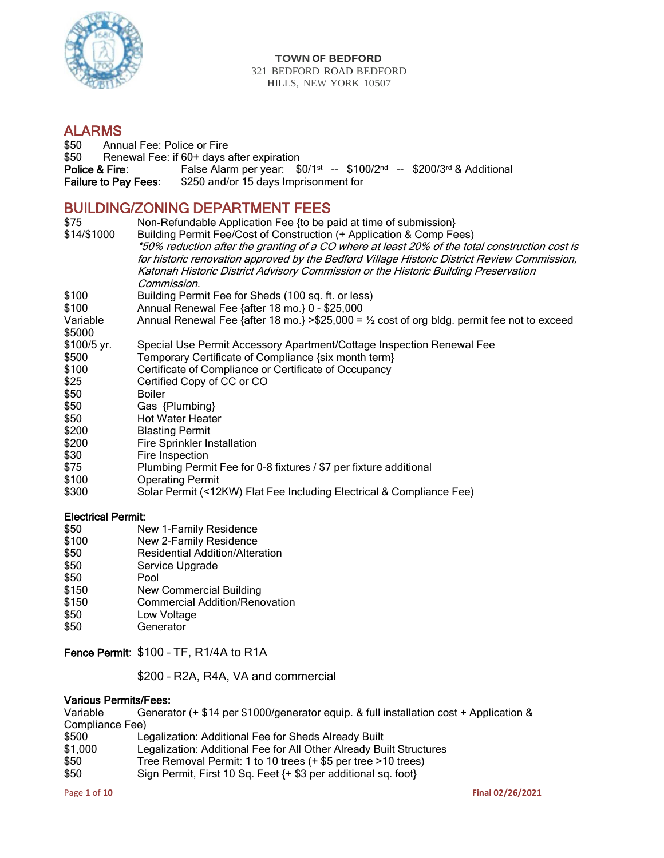

#### **TOWN OF BEDFORD** 321 BEDFORD ROAD BEDFORD HILLS, NEW YORK 10507

# **ALARMS**<br>\$50 Annu

Annual Fee: Police or Fire \$50 Renewal Fee: if 60+ days after expiration Police & Fire: False Alarm per year: \$0/1st -- \$100/2nd -- \$200/3rd & Additional Failure to Pay Fees: \$250 and/or 15 days Imprisonment for

## BUILDING/ZONING DEPARTMENT FEES

| \$75<br>\$14/\$1000 | Non-Refundable Application Fee {to be paid at time of submission}<br>Building Permit Fee/Cost of Construction (+ Application & Comp Fees)<br>*50% reduction after the granting of a CO where at least 20% of the total construction cost is |
|---------------------|---------------------------------------------------------------------------------------------------------------------------------------------------------------------------------------------------------------------------------------------|
|                     | for historic renovation approved by the Bedford Village Historic District Review Commission,<br>Katonah Historic District Advisory Commission or the Historic Building Preservation<br>Commission.                                          |
| \$100               | Building Permit Fee for Sheds (100 sq. ft. or less)                                                                                                                                                                                         |
| \$100               | Annual Renewal Fee {after 18 mo.} 0 - \$25,000                                                                                                                                                                                              |
| Variable<br>\$5000  | Annual Renewal Fee {after 18 mo.} > \$25,000 = $\frac{1}{2}$ cost of org bldg. permit fee not to exceed                                                                                                                                     |
| \$100/5 yr.         | Special Use Permit Accessory Apartment/Cottage Inspection Renewal Fee                                                                                                                                                                       |
| \$500               | Temporary Certificate of Compliance {six month term}                                                                                                                                                                                        |
| \$100               | Certificate of Compliance or Certificate of Occupancy                                                                                                                                                                                       |
| \$25                | Certified Copy of CC or CO                                                                                                                                                                                                                  |
| \$50                | <b>Boiler</b>                                                                                                                                                                                                                               |
| \$50                | Gas {Plumbing}                                                                                                                                                                                                                              |
| \$50                | <b>Hot Water Heater</b>                                                                                                                                                                                                                     |
| \$200               | <b>Blasting Permit</b>                                                                                                                                                                                                                      |
| \$200               | Fire Sprinkler Installation                                                                                                                                                                                                                 |
| \$30                | Fire Inspection                                                                                                                                                                                                                             |
| \$75                | Plumbing Permit Fee for 0-8 fixtures / \$7 per fixture additional                                                                                                                                                                           |
| \$100               | <b>Operating Permit</b>                                                                                                                                                                                                                     |
| \$300               | Solar Permit (<12KW) Flat Fee Including Electrical & Compliance Fee)                                                                                                                                                                        |

#### Electrical Permit:

- \$50 New 1-Family Residence
- \$100 New 2-Family Residence
- \$50 Residential Addition/Alteration<br>\$50 Service Upgrade
- \$50 Service Upgrade<br>\$50 Pool
- \$50 Pool<br>\$150 New
- \$150 New Commercial Building<br>\$150 Commercial Addition/Reno
- Commercial Addition/Renovation
- \$50 Low Voltage
- \$50 Generator

#### Fence Permit: \$100 – TF, R1/4A to R1A

\$200 – R2A, R4A, VA and commercial

#### Various Permits/Fees:

| Variable        | Generator (+ \$14 per \$1000/generator equip. & full installation cost + Application & |
|-----------------|----------------------------------------------------------------------------------------|
| Compliance Fee) |                                                                                        |
| \$500           | Legalization: Additional Fee for Sheds Already Built                                   |
| \$1,000         | Legalization: Additional Fee for All Other Already Built Structures                    |
| \$50            | Tree Removal Permit: 1 to 10 trees (+ \$5 per tree > 10 trees)                         |
| \$50            | Sign Permit, First 10 Sq. Feet {+ \$3 per additional sq. foot}                         |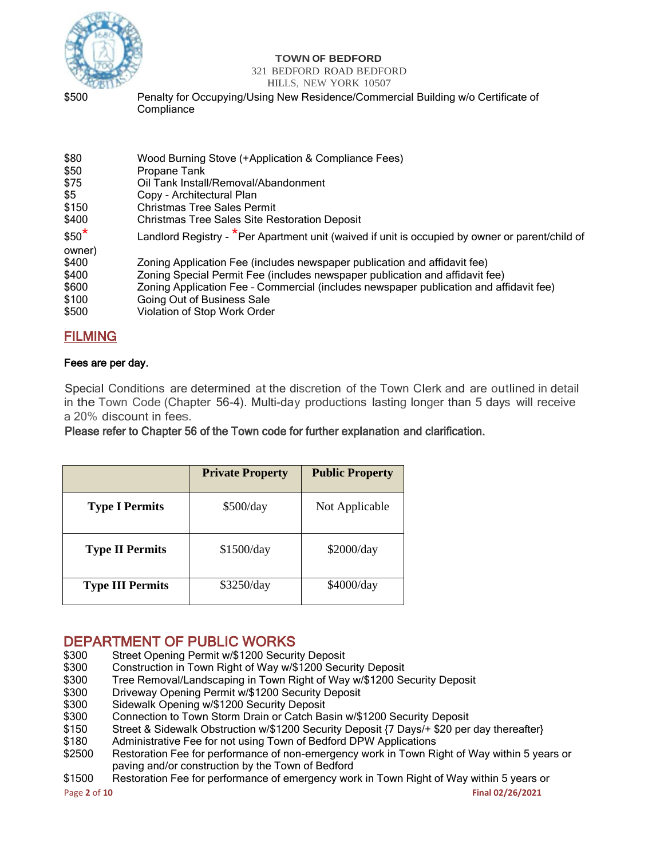

#### **TOWN OF BEDFORD**

#### 321 BEDFORD ROAD BEDFORD

#### HILLS, NEW YORK 10507

\$500 Penalty for Occupying/Using New Residence/Commercial Building w/o Certificate of **Compliance** 

| \$80          | Wood Burning Stove (+Application & Compliance Fees)                                             |
|---------------|-------------------------------------------------------------------------------------------------|
| \$50          | Propane Tank                                                                                    |
| \$75          | Oil Tank Install/Removal/Abandonment                                                            |
| \$5           | Copy - Architectural Plan                                                                       |
| \$150         | <b>Christmas Tree Sales Permit</b>                                                              |
| \$400         | <b>Christmas Tree Sales Site Restoration Deposit</b>                                            |
| $$50^{\star}$ | Landlord Registry - *Per Apartment unit (waived if unit is occupied by owner or parent/child of |
| owner)        |                                                                                                 |
| \$400         | Zoning Application Fee (includes newspaper publication and affidavit fee)                       |
| \$400         | Zoning Special Permit Fee (includes newspaper publication and affidavit fee)                    |
| \$600         | Zoning Application Fee - Commercial (includes newspaper publication and affidavit fee)          |
| \$100         | Going Out of Business Sale                                                                      |
| \$500         | Violation of Stop Work Order                                                                    |

## FILMING

#### Fees are per day.

Special Conditions are determined at the discretion of the Town Clerk and are outlined in detail in the Town Code (Chapter 56-4). Multi-day productions lasting longer than 5 days will receive a 20% discount in fees.

Please refer to Chapter 56 of the Town code for further explanation and clarification.

|                         | <b>Private Property</b> | <b>Public Property</b> |
|-------------------------|-------------------------|------------------------|
| <b>Type I Permits</b>   | \$500/day               | Not Applicable         |
| <b>Type II Permits</b>  | \$1500/day              | \$2000/day             |
| <b>Type III Permits</b> | \$3250/day              | \$4000/day             |

# **DEPARTMENT OF PUBLIC WORKS**<br>\$300 Street Opening Permit w/\$1200 Securi

- \$300 Street Opening Permit w/\$1200 Security Deposit<br>\$300 Construction in Town Right of Way w/\$1200 Secu
- \$300 Construction in Town Right of Way w/\$1200 Security Deposit<br>\$300 Free Removal/Landscaping in Town Right of Way w/\$1200 Se
- \$300 Tree Removal/Landscaping in Town Right of Way w/\$1200 Security Deposit<br>\$300 Driveway Opening Permit w/\$1200 Security Deposit
- \$300 Driveway Opening Permit w/\$1200 Security Deposit<br>\$300 Sidewalk Opening w/\$1200 Security Deposit
- \$300 Sidewalk Opening w/\$1200 Security Deposit
- Connection to Town Storm Drain or Catch Basin w/\$1200 Security Deposit
- \$150 Street & Sidewalk Obstruction w/\$1200 Security Deposit {7 Days/+ \$20 per day thereafter}
- \$180 Administrative Fee for not using Town of Bedford DPW Applications
- \$2500 Restoration Fee for performance of non-emergency work in Town Right of Way within 5 years or paving and/or construction by the Town of Bedford
- \$1500 Restoration Fee for performance of emergency work in Town Right of Way within 5 years or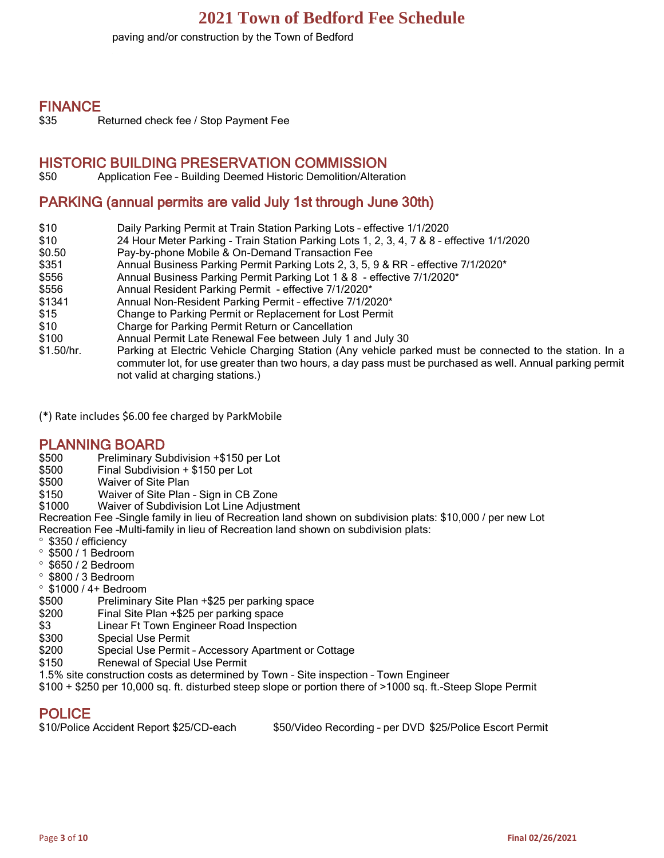paving and/or construction by the Town of Bedford

#### FINANCE

\$35 Returned check fee / Stop Payment Fee

#### HISTORIC BUILDING PRESERVATION COMMISSION

\$50 Application Fee – Building Deemed Historic Demolition/Alteration

## PARKING (annual permits are valid July 1st through June 30th)

- \$10 Daily Parking Permit at Train Station Parking Lots effective 1/1/2020
- \$10 24 Hour Meter Parking Train Station Parking Lots 1, 2, 3, 4, 7 & 8 effective 1/1/2020
- \$0.50 Pay-by-phone Mobile & On-Demand Transaction Fee
- \$351 Annual Business Parking Permit Parking Lots 2, 3, 5, 9 & RR effective 7/1/2020<sup>\*</sup>
- \$556 Annual Business Parking Permit Parking Lot 1 & 8 effective 7/1/2020\*
- \$556 Annual Resident Parking Permit effective 7/1/2020\*
- \$1341 Annual Non-Resident Parking Permit effective 7/1/2020\*
- \$15 Change to Parking Permit or Replacement for Lost Permit
- \$10 Charge for Parking Permit Return or Cancellation
- \$100 Annual Permit Late Renewal Fee between July 1 and July 30
- \$1.50/hr. Parking at Electric Vehicle Charging Station (Any vehicle parked must be connected to the station. In a commuter lot, for use greater than two hours, a day pass must be purchased as well. Annual parking permit not valid at charging stations.)

(\*) Rate includes \$6.00 fee charged by ParkMobile

#### PLANNING BOARD

- \$500 Preliminary Subdivision +\$150 per Lot
- $Final$  Subdivision + \$150 per Lot
- \$500 Waiver of Site Plan
- \$150 Waiver of Site Plan Sign in CB Zone
- \$1000 Waiver of Subdivision Lot Line Adjustment

Recreation Fee –Single family in lieu of Recreation land shown on subdivision plats: \$10,000 / per new Lot Recreation Fee –Multi-family in lieu of Recreation land shown on subdivision plats:

- \$350 / efficiency
- $\degree$  \$500 / 1 Bedroom
- $\degree$  \$650 / 2 Bedroom
- $\degree$  \$800 / 3 Bedroom
- $\degree$  \$1000 / 4+ Bedroom
- \$500 Preliminary Site Plan +\$25 per parking space
- \$200 Final Site Plan +\$25 per parking space
- \$3 Linear Ft Town Engineer Road Inspection
- \$300 Special Use Permit
- \$200 Special Use Permit Accessory Apartment or Cottage
- \$150 Renewal of Special Use Permit
- 1.5% site construction costs as determined by Town Site inspection Town Engineer
- \$100 + \$250 per 10,000 sq. ft. disturbed steep slope or portion there of >1000 sq. ft.-Steep Slope Permit

### POLICE

| \$10/Police Accident Report \$25/CD-each | \$50/Video Recording - per DVD \$25/Police Escort Permit |
|------------------------------------------|----------------------------------------------------------|
|------------------------------------------|----------------------------------------------------------|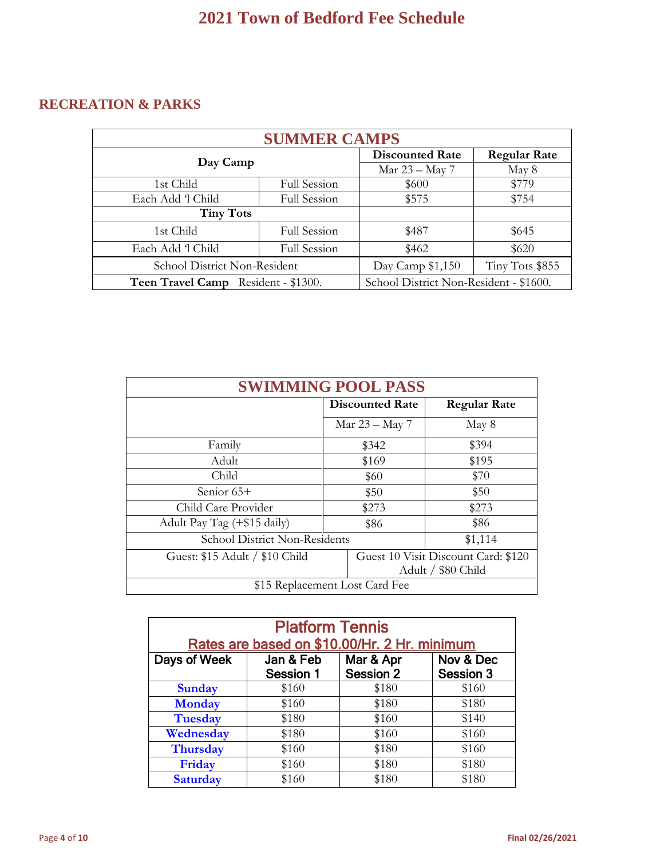# **RECREATION & PARKS**

| <b>SUMMER CAMPS</b>                 |                                        |                     |       |  |
|-------------------------------------|----------------------------------------|---------------------|-------|--|
|                                     | <b>Discounted Rate</b>                 | <b>Regular Rate</b> |       |  |
| Day Camp                            | Mar 23 – May 7                         | May 8               |       |  |
| 1st Child                           | Full Session                           | \$600               | \$779 |  |
| Each Add 'l Child                   | Full Session                           | \$575               | \$754 |  |
| <b>Tiny Tots</b>                    |                                        |                     |       |  |
| 1st Child                           | <b>Full Session</b>                    | \$487               | \$645 |  |
| Each Add 'l Child                   | <b>Full Session</b>                    | \$462               | \$620 |  |
| School District Non-Resident        | Day Camp \$1,150                       | Tiny Tots \$855     |       |  |
| Teen Travel Camp Resident - \$1300. | School District Non-Resident - \$1600. |                     |       |  |

| <b>SWIMMING POOL PASS</b>      |                        |                                     |  |
|--------------------------------|------------------------|-------------------------------------|--|
|                                | <b>Discounted Rate</b> | <b>Regular Rate</b>                 |  |
|                                | Mar 23 - May 7         | May 8                               |  |
| Family                         | \$342                  | \$394                               |  |
| Adult                          | \$169                  | \$195                               |  |
| Child                          | \$60                   | \$70                                |  |
| Senior 65+                     | \$50                   | \$50                                |  |
| Child Care Provider            | \$273                  | \$273                               |  |
| Adult Pay Tag (+\$15 daily)    | \$86                   | \$86                                |  |
| School District Non-Residents  |                        | \$1,114                             |  |
| Guest: \$15 Adult / \$10 Child |                        | Guest 10 Visit Discount Card: \$120 |  |
|                                |                        | Adult / \$80 Child                  |  |
| \$15 Replacement Lost Card Fee |                        |                                     |  |

|                 | <b>Platform Tennis</b>                       |                  |           |  |  |
|-----------------|----------------------------------------------|------------------|-----------|--|--|
|                 | Rates are based on \$10.00/Hr. 2 Hr. minimum |                  |           |  |  |
| Days of Week    | Jan & Feb                                    | Mar & Apr        | Nov & Dec |  |  |
|                 | <b>Session 1</b>                             | <b>Session 2</b> | Session 3 |  |  |
| <b>Sunday</b>   | \$160                                        | \$180            | \$160     |  |  |
| <b>Monday</b>   | \$160                                        | \$180            | \$180     |  |  |
| <b>Tuesday</b>  | \$180                                        | \$160            | \$140     |  |  |
| Wednesday       | \$180                                        | \$160            | \$160     |  |  |
| <b>Thursday</b> | \$160                                        | \$180            | \$160     |  |  |
| Friday          | \$160                                        | \$180            | \$180     |  |  |
| <b>Saturday</b> | \$160                                        | \$180            | \$180     |  |  |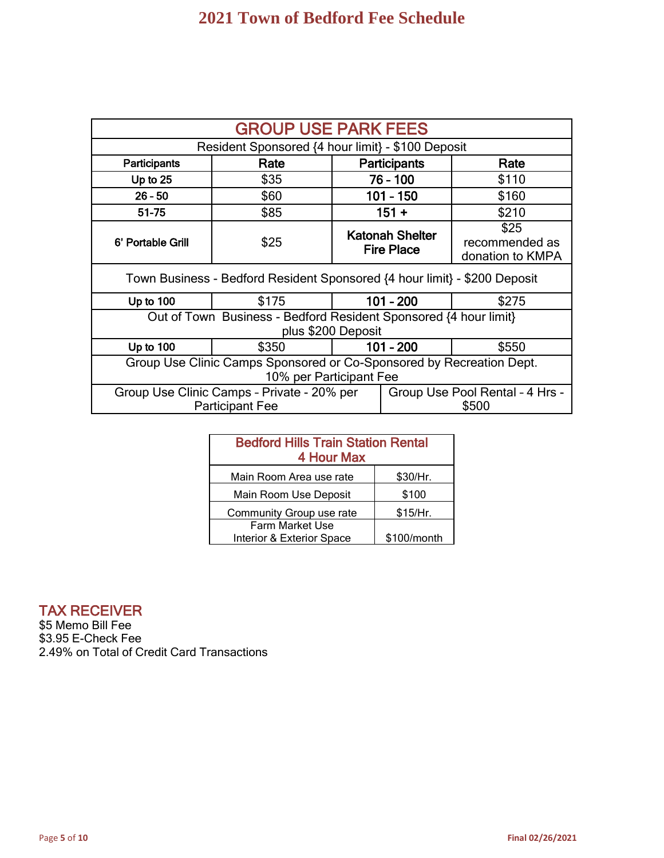| <b>GROUP USE PARK FEES</b>                                                                                       |                                                                           |             |                                             |                                            |
|------------------------------------------------------------------------------------------------------------------|---------------------------------------------------------------------------|-------------|---------------------------------------------|--------------------------------------------|
|                                                                                                                  | Resident Sponsored {4 hour limit} - \$100 Deposit                         |             |                                             |                                            |
| Participants                                                                                                     | Rate                                                                      |             | <b>Participants</b>                         | Rate                                       |
| Up to $25$                                                                                                       | \$35                                                                      |             | 76 - 100                                    | \$110                                      |
| $26 - 50$                                                                                                        | \$60                                                                      |             | $101 - 150$                                 | \$160                                      |
| 51-75                                                                                                            | \$85                                                                      |             | $151 +$                                     | \$210                                      |
| 6' Portable Grill                                                                                                | \$25                                                                      |             | <b>Katonah Shelter</b><br><b>Fire Place</b> | \$25<br>recommended as<br>donation to KMPA |
|                                                                                                                  | Town Business - Bedford Resident Sponsored {4 hour limit} - \$200 Deposit |             |                                             |                                            |
| Up to $100$                                                                                                      | \$175                                                                     |             | $101 - 200$                                 | \$275                                      |
| Out of Town Business - Bedford Resident Sponsored {4 hour limit}<br>plus \$200 Deposit                           |                                                                           |             |                                             |                                            |
| Up to 100                                                                                                        | \$350                                                                     | $101 - 200$ |                                             | \$550                                      |
| Group Use Clinic Camps Sponsored or Co-Sponsored by Recreation Dept.<br>10% per Participant Fee                  |                                                                           |             |                                             |                                            |
| Group Use Clinic Camps - Private - 20% per<br>Group Use Pool Rental - 4 Hrs -<br>\$500<br><b>Participant Fee</b> |                                                                           |             |                                             |                                            |

| <b>Bedford Hills Train Station Rental</b><br>4 Hour Max |             |  |
|---------------------------------------------------------|-------------|--|
| Main Room Area use rate                                 | \$30/Hr.    |  |
| Main Room Use Deposit                                   | \$100       |  |
| Community Group use rate                                | \$15/Hr.    |  |
| <b>Farm Market Use</b><br>Interior & Exterior Space     | \$100/month |  |

## TAX RECEIVER

\$5 Memo Bill Fee \$3.95 E-Check Fee 2.49% on Total of Credit Card Transactions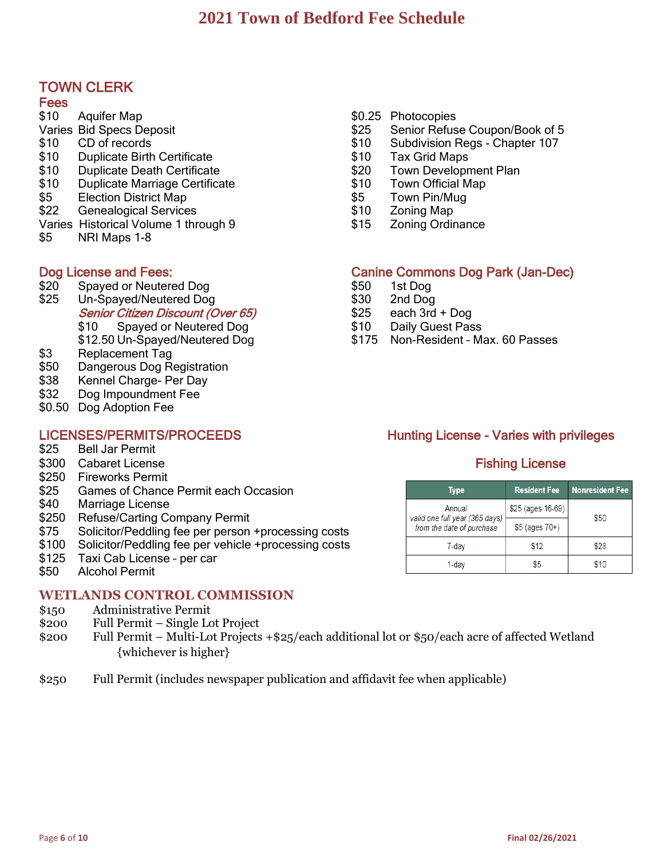## TOWN CLERK

#### **Fees**

- \$10 Aquifer Map Varies Bid Specs Deposit
- \$10 CD of records
- \$10 Duplicate Birth Certificate
- \$10 Duplicate Death Certificate
- \$10 Duplicate Marriage Certificate
- \$5 Election District Map
- \$22 Genealogical Services
- Varies Historical Volume 1 through 9
- \$5 NRI Maps 1-8

- \$20 Spayed or Neutered Dog \$50 1st Dog
- \$25 Un-Spayed/Neutered Dog \$30 \$30 2nd Dog
	- Senior Citizen Discount (Over 65) \$25 each 3rd + Dog
	-
- \$3 Replacement Tag
- \$50 Dangerous Dog Registration
- \$38 Kennel Charge- Per Day
- \$32 Dog Impoundment Fee
- \$0.50 Dog Adoption Fee

- \$25 Bell Jar Permit
- \$300 Cabaret License Fishing License Fishing License
- \$250 Fireworks Permit
- \$25 Games of Chance Permit each Occasion
- \$40 Marriage License
- \$250 Refuse/Carting Company Permit
- \$75 Solicitor/Peddling fee per person +processing costs
- \$100 Solicitor/Peddling fee per vehicle +processing costs
- \$125 Taxi Cab License per car
- \$50 Alcohol Permit Ĭ

### **WETLANDS CONTROL COMMISSION**

- \$150 Administrative Permit
- \$200 Full Permit Single Lot Project
- \$200 Full Permit Multi-Lot Projects +\$25/each additional lot or \$50/each acre of affected Wetland {whichever is higher}
- \$250 Full Permit (includes newspaper publication and affidavit fee when applicable)
- \$0.25 Photocopies
- \$25 Senior Refuse Coupon/Book of 5
- \$10 Subdivision Regs Chapter 107
- \$10 Tax Grid Maps
- \$20 Town Development Plan
- \$10 Town Official Map
- \$5 Town Pin/Mug
- \$10 Zoning Map
- \$15 Zoning Ordinance

### Dog License and Fees: Canine Commons Dog Park (Jan-Dec)

- 
- 
- 
- \$10 Spayed or Neutered Dog \$10 Daily Guest Pass
- \$12.50 Un-Spayed/Neutered Dog \$175 Non-Resident Max. 60 Passes

# LICENSES/PERMITS/PROCEEDS Hunting License - Varies with privileges

| Type                                                        | <b>Resident Fee</b> | <b>Nonresident Fee</b> |  |
|-------------------------------------------------------------|---------------------|------------------------|--|
| Annual                                                      | \$25 (ages 16-69)   | \$50                   |  |
| valid one full year (365 days)<br>from the date of purchase | $$5$ (ages $70+$ )  |                        |  |
| 7-day                                                       | \$12                | \$28                   |  |
| 1-dav                                                       | S5                  | \$10                   |  |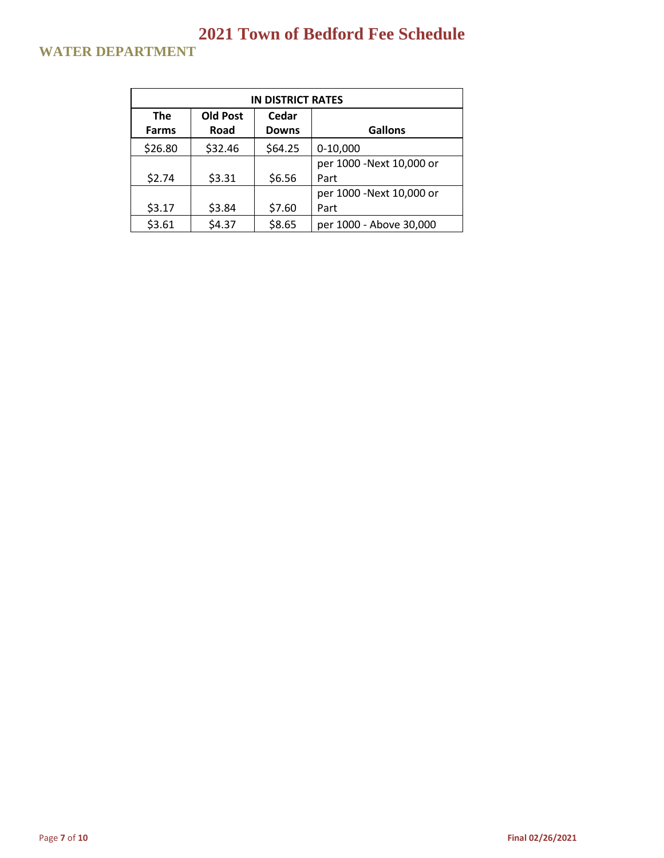# **WATER DEPARTMENT**

| <b>IN DISTRICT RATES</b> |                 |              |                          |  |
|--------------------------|-----------------|--------------|--------------------------|--|
| <b>The</b>               | <b>Old Post</b> | Cedar        |                          |  |
| <b>Farms</b>             | Road            | <b>Downs</b> | <b>Gallons</b>           |  |
| \$26.80                  | \$32.46         | \$64.25      | $0-10,000$               |  |
|                          |                 |              | per 1000 -Next 10,000 or |  |
| \$2.74                   | \$3.31          | \$6.56       | Part                     |  |
|                          |                 |              | per 1000 -Next 10,000 or |  |
| \$3.17                   | \$3.84          | \$7.60       | Part                     |  |
| \$3.61                   | \$4.37          | \$8.65       | per 1000 - Above 30,000  |  |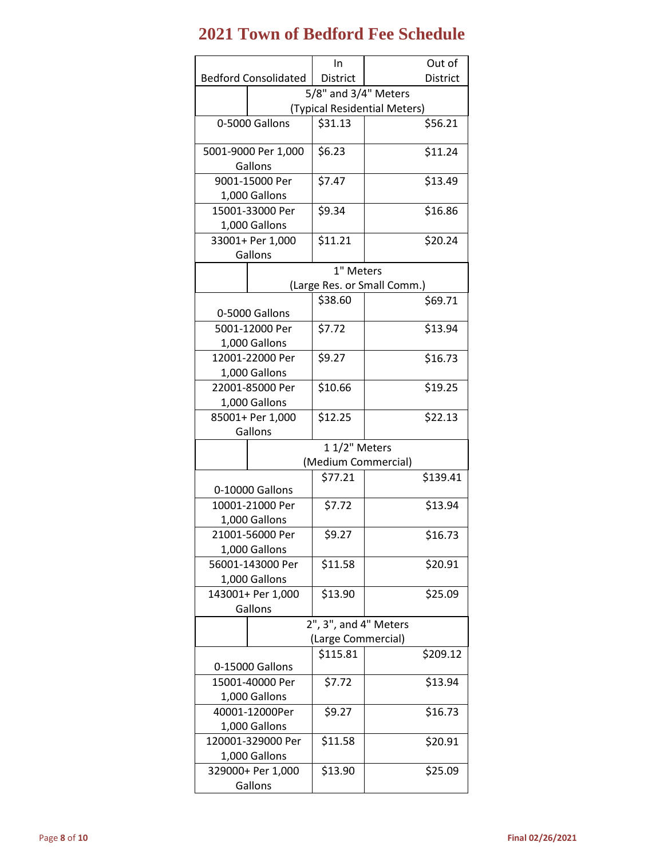#### **2021 Town of Bedford Fee Schedule** Bedford Consolidated In District Out of District 5/8" and 3/4" Meters (Typical Residential Meters)  $0-5000$  Gallons  $\Big| 531.13 \Big|$  \$56.21 5001-9000 Per 1,000 Gallons  $$6.23$   $$11.24$ 9001-15000 Per 1,000 Gallons  $$7.47$   $$13.49$ 15001-33000 Per 1,000 Gallons  $$9.34$   $$16.86$ 33001+ Per 1,000 Gallons  $$11.21$   $$20.24$ 1" Meters (Large Res. or Small Comm.) 0-5000 Gallons  $$38.60$   $$69.71$ 5001-12000 Per 1,000 Gallons  $$7.72$   $$13.94$ 12001-22000 Per 1,000 Gallons  $$9.27$   $$16.73$ 22001-85000 Per 1,000 Gallons  $$10.66$   $$19.25$ 85001+ Per 1,000 Gallons  $$12.25$   $$22.13$ 1 1/2" Meters (Medium Commercial) 0-10000 Gallons \$77.21 | \$139.41 10001-21000 Per 1,000 Gallons \$7.72 \$13.94 21001-56000 Per 1,000 Gallons  $$9.27$   $$16.73$

|                                   |                       | וווווטט ווומוו כ וועד וס (Laige nes. |
|-----------------------------------|-----------------------|--------------------------------------|
| 0-5000 Gallons                    | \$38.60               | \$69.71                              |
| 5001-12000 Per                    | \$7.72                | \$13.94                              |
| 1,000 Gallons                     |                       |                                      |
| 12001-22000 Per                   | \$9.27                | \$16.73                              |
| 1,000 Gallons                     |                       |                                      |
| 22001-85000 Per                   | \$10.66               | \$19.25                              |
| 1,000 Gallons                     |                       |                                      |
| 85001+ Per 1,000                  | \$12.25               | \$22.13                              |
| Gallons                           |                       |                                      |
|                                   | 11/2" Meters          |                                      |
|                                   | (Medium Commercial)   |                                      |
|                                   | \$77.21               | \$139.41                             |
| 0-10000 Gallons                   |                       |                                      |
| 10001-21000 Per                   | \$7.72                | \$13.94                              |
| 1,000 Gallons                     |                       |                                      |
| 21001-56000 Per                   | \$9.27                | \$16.73                              |
| 1,000 Gallons                     | \$11.58               |                                      |
| 56001-143000 Per<br>1,000 Gallons |                       | \$20.91                              |
| 143001+ Per 1,000                 | \$13.90               | \$25.09                              |
| Gallons                           |                       |                                      |
|                                   | 2", 3", and 4" Meters |                                      |
|                                   | (Large Commercial)    |                                      |
|                                   | \$115.81              | \$209.12                             |
| 0-15000 Gallons                   |                       |                                      |
| 15001-40000 Per                   | \$7.72                | \$13.94                              |
| 1,000 Gallons                     |                       |                                      |
| 40001-12000Per                    | \$9.27                | \$16.73                              |
| 1,000 Gallons                     |                       |                                      |
| 120001-329000 Per                 | \$11.58               | \$20.91                              |
| 1,000 Gallons                     |                       |                                      |
| 329000+ Per 1,000                 | \$13.90               | \$25.09                              |
| Gallons                           |                       |                                      |
|                                   |                       |                                      |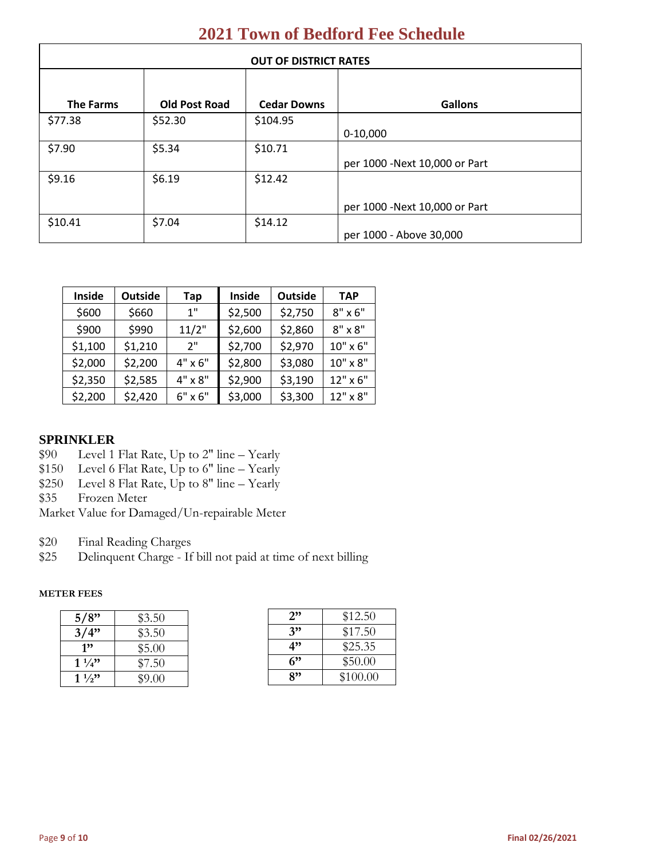| <b>OUT OF DISTRICT RATES</b> |                      |                    |                                |
|------------------------------|----------------------|--------------------|--------------------------------|
|                              |                      |                    |                                |
| <b>The Farms</b>             | <b>Old Post Road</b> | <b>Cedar Downs</b> | <b>Gallons</b>                 |
| \$77.38                      | \$52.30              | \$104.95           |                                |
|                              |                      |                    | $0-10,000$                     |
| \$7.90                       | \$5.34               | \$10.71            |                                |
|                              |                      |                    | per 1000 - Next 10,000 or Part |
| \$9.16                       | \$6.19               | \$12.42            |                                |
|                              |                      |                    |                                |
|                              |                      |                    | per 1000 - Next 10,000 or Part |
| \$10.41                      | \$7.04               | \$14.12            |                                |
|                              |                      |                    | per 1000 - Above 30,000        |

| Inside  | <b>Outside</b> | Tap            | Inside  | <b>Outside</b> | <b>TAP</b>     |
|---------|----------------|----------------|---------|----------------|----------------|
| \$600   | \$660          | 1"             | \$2,500 | \$2,750        | $8" \times 6"$ |
| \$900   | \$990          | 11/2"          | \$2,600 | \$2,860        | $8" \times 8"$ |
| \$1,100 | \$1,210        | 2"             | \$2,700 | \$2,970        | 10" x 6"       |
| \$2,000 | \$2,200        | $4" \times 6"$ | \$2,800 | \$3,080        | 10" x 8"       |
| \$2,350 | \$2,585        | 4" x 8"        | \$2,900 | \$3,190        | 12" x 6"       |
| \$2,200 | \$2,420        | $6" \times 6"$ | \$3,000 | \$3,300        | 12" x 8"       |

### **SPRINKLER**

- \$90 Level 1 Flat Rate, Up to 2" line Yearly
- \$150 Level 6 Flat Rate, Up to 6" line Yearly
- $$250$  Level 8 Flat Rate, Up to 8" line Yearly

\$35 Frozen Meter

- Market Value for Damaged/Un-repairable Meter
- \$20 Final Reading Charges
- \$25 Delinquent Charge If bill not paid at time of next billing

#### **METER FEES**

| 5/8"           | \$3.50 |
|----------------|--------|
| 3/4"           | \$3.50 |
| 1"             | \$5.00 |
| $1\frac{1}{4}$ | \$7.50 |
| $1\frac{1}{2}$ | \$9.00 |

| 2" | \$12.50  |
|----|----------|
| 3" | \$17.50  |
| 4" | \$25.35  |
| 6" | \$50.00  |
| 8" | \$100.00 |